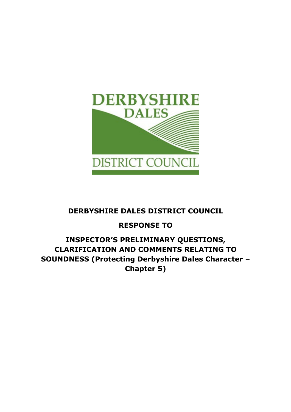

## DERBYSHIRE DALES DISTRICT COUNCIL

# RESPONSE TO

## INSPECTOR'S PRELIMINARY QUESTIONS, CLARIFICATION AND COMMENTS RELATING TO SOUNDNESS (Protecting Derbyshire Dales Character – Chapter 5)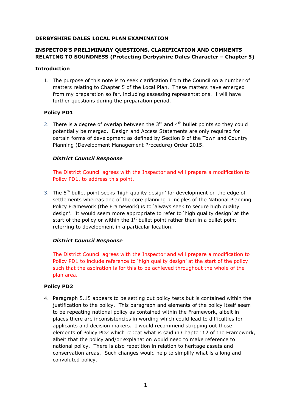### DERBYSHIRE DALES LOCAL PLAN EXAMINATION

## INSPECTOR'S PRELIMINARY QUESTIONS, CLARIFICATION AND COMMENTS RELATING TO SOUNDNESS (Protecting Derbyshire Dales Character – Chapter 5)

#### Introduction

1. The purpose of this note is to seek clarification from the Council on a number of matters relating to Chapter 5 of the Local Plan. These matters have emerged from my preparation so far, including assessing representations. I will have further questions during the preparation period.

## Policy PD1

2. There is a degree of overlap between the  $3<sup>rd</sup>$  and  $4<sup>th</sup>$  bullet points so they could potentially be merged. Design and Access Statements are only required for certain forms of development as defined by Section 9 of the Town and Country Planning (Development Management Procedure) Order 2015.

## District Council Response

The District Council agrees with the Inspector and will prepare a modification to Policy PD1, to address this point.

3. The 5<sup>th</sup> bullet point seeks 'high quality design' for development on the edge of settlements whereas one of the core planning principles of the National Planning Policy Framework (the Framework) is to 'always seek to secure high quality design'. It would seem more appropriate to refer to 'high quality design' at the start of the policy or within the  $1<sup>st</sup>$  bullet point rather than in a bullet point referring to development in a particular location.

## District Council Response

The District Council agrees with the Inspector and will prepare a modification to Policy PD1 to include reference to 'high quality design' at the start of the policy such that the aspiration is for this to be achieved throughout the whole of the plan area.

## Policy PD2

4. Paragraph 5.15 appears to be setting out policy tests but is contained within the justification to the policy. This paragraph and elements of the policy itself seem to be repeating national policy as contained within the Framework, albeit in places there are inconsistencies in wording which could lead to difficulties for applicants and decision makers. I would recommend stripping out those elements of Policy PD2 which repeat what is said in Chapter 12 of the Framework, albeit that the policy and/or explanation would need to make reference to national policy. There is also repetition in relation to heritage assets and conservation areas. Such changes would help to simplify what is a long and convoluted policy.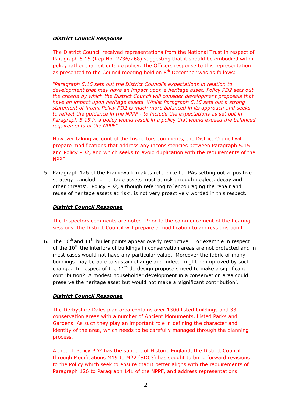## District Council Response

The District Council received representations from the National Trust in respect of Paragraph 5.15 (Rep No. 2736/268) suggesting that it should be embodied within policy rather than sit outside policy. The Officers response to this representation as presented to the Council meeting held on  $8<sup>th</sup>$  December was as follows:

"Paragraph 5.15 sets out the District Council's expectations in relation to development that may have an impact upon a heritage asset. Policy PD2 sets out the criteria by which the District Council will consider development proposals that have an impact upon heritage assets. Whilst Paragraph 5.15 sets out a strong statement of intent Policy PD2 is much more balanced in its approach and seeks to reflect the guidance in the NPPF - to include the expectations as set out in Paragraph 5.15 in a policy would result in a policy that would exceed the balanced requirements of the NPPF"

However taking account of the Inspectors comments, the District Council will prepare modifications that address any inconsistencies between Paragraph 5.15 and Policy PD2, and which seeks to avoid duplication with the requirements of the NPPF.

5. Paragraph 126 of the Framework makes reference to LPAs setting out a 'positive strategy…..including heritage assets most at risk through neglect, decay and other threats'. Policy PD2, although referring to 'encouraging the repair and reuse of heritage assets at risk', is not very proactively worded in this respect.

## District Council Response

The Inspectors comments are noted. Prior to the commencement of the hearing sessions, the District Council will prepare a modification to address this point.

6. The  $10^{th}$  and  $11^{th}$  bullet points appear overly restrictive. For example in respect of the 10<sup>th</sup> the interiors of buildings in conservation areas are not protected and in most cases would not have any particular value. Moreover the fabric of many buildings may be able to sustain change and indeed might be improved by such change. In respect of the  $11<sup>th</sup>$  do design proposals need to make a significant contribution? A modest householder development in a conservation area could preserve the heritage asset but would not make a 'significant contribution'.

## District Council Response

The Derbyshire Dales plan area contains over 1300 listed buildings and 33 conservation areas with a number of Ancient Monuments, Listed Parks and Gardens. As such they play an important role in defining the character and identity of the area, which needs to be carefully managed through the planning process.

Although Policy PD2 has the support of Historic England, the District Council through Modifications M19 to M22 (SD03) has sought to bring forward revisions to the Policy which seek to ensure that it better aligns with the requirements of Paragraph 126 to Paragraph 141 of the NPPF, and address representations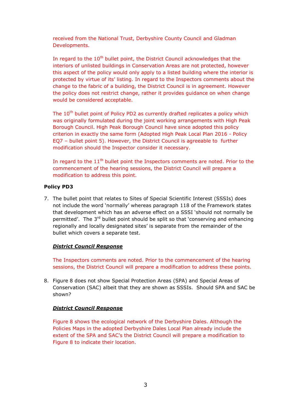received from the National Trust, Derbyshire County Council and Gladman Developments.

In regard to the 10<sup>th</sup> bullet point, the District Council acknowledges that the interiors of unlisted buildings in Conservation Areas are not protected, however this aspect of the policy would only apply to a listed building where the interior is protected by virtue of its' listing. In regard to the Inspectors comments about the change to the fabric of a building, the District Council is in agreement. However the policy does not restrict change, rather it provides guidance on when change would be considered acceptable.

The 10<sup>th</sup> bullet point of Policy PD2 as currently drafted replicates a policy which was originally formulated during the joint working arrangements with High Peak Borough Council. High Peak Borough Council have since adopted this policy criterion in exactly the same form (Adopted High Peak Local Plan 2016 - Policy EQ7 – bullet point 5). However, the District Council is agreeable to further modification should the Inspector consider it necessary.

In regard to the  $11<sup>th</sup>$  bullet point the Inspectors comments are noted. Prior to the commencement of the hearing sessions, the District Council will prepare a modification to address this point.

#### Policy PD3

7. The bullet point that relates to Sites of Special Scientific Interest (SSSIs) does not include the word 'normally' whereas paragraph 118 of the Framework states that development which has an adverse effect on a SSSI 'should not normally be permitted'. The 3<sup>rd</sup> bullet point should be split so that 'conserving and enhancing regionally and locally designated sites' is separate from the remainder of the bullet which covers a separate test.

## District Council Response

The Inspectors comments are noted. Prior to the commencement of the hearing sessions, the District Council will prepare a modification to address these points.

8. Figure 8 does not show Special Protection Areas (SPA) and Special Areas of Conservation (SAC) albeit that they are shown as SSSIs. Should SPA and SAC be shown?

## District Council Response

Figure 8 shows the ecological network of the Derbyshire Dales. Although the Policies Maps in the adopted Derbyshire Dales Local Plan already include the extent of the SPA and SAC's the District Council will prepare a modification to Figure 8 to indicate their location.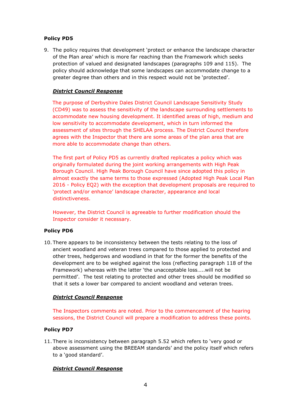## Policy PD5

9. The policy requires that development 'protect or enhance the landscape character of the Plan area' which is more far reaching than the Framework which seeks protection of valued and designated landscapes (paragraphs 109 and 115). The policy should acknowledge that some landscapes can accommodate change to a greater degree than others and in this respect would not be 'protected'.

## District Council Response

The purpose of Derbyshire Dales District Council Landscape Sensitivity Study (CD49) was to assess the sensitivity of the landscape surrounding settlements to accommodate new housing development. It identified areas of high, medium and low sensitivity to accommodate development, which in turn informed the assessment of sites through the SHELAA process. The District Council therefore agrees with the Inspector that there are some areas of the plan area that are more able to accommodate change than others.

The first part of Policy PD5 as currently drafted replicates a policy which was originally formulated during the joint working arrangements with High Peak Borough Council. High Peak Borough Council have since adopted this policy in almost exactly the same terms to those expressed (Adopted High Peak Local Plan 2016 - Policy EQ2) with the exception that development proposals are required to 'protect and/or enhance' landscape character, appearance and local distinctiveness.

However, the District Council is agreeable to further modification should the Inspector consider it necessary.

## Policy PD6

10. There appears to be inconsistency between the tests relating to the loss of ancient woodland and veteran trees compared to those applied to protected and other trees, hedgerows and woodland in that for the former the benefits of the development are to be weighed against the loss (reflecting paragraph 118 of the Framework) whereas with the latter 'the unacceptable loss…..will not be permitted'. The test relating to protected and other trees should be modified so that it sets a lower bar compared to ancient woodland and veteran trees.

## District Council Response

The Inspectors comments are noted. Prior to the commencement of the hearing sessions, the District Council will prepare a modification to address these points.

## Policy PD7

11. There is inconsistency between paragraph 5.52 which refers to 'very good or above assessment using the BREEAM standards' and the policy itself which refers to a 'good standard'.

## District Council Response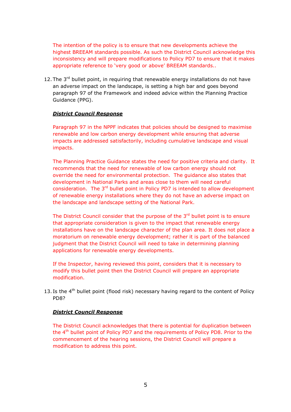The intention of the policy is to ensure that new developments achieve the highest BREEAM standards possible. As such the District Council acknowledge this inconsistency and will prepare modifications to Policy PD7 to ensure that it makes appropriate reference to 'very good or above' BREEAM standards..

12. The  $3^{rd}$  bullet point, in requiring that renewable energy installations do not have an adverse impact on the landscape, is setting a high bar and goes beyond paragraph 97 of the Framework and indeed advice within the Planning Practice Guidance (PPG).

#### District Council Response

Paragraph 97 in the NPPF indicates that policies should be designed to maximise renewable and low carbon energy development while ensuring that adverse impacts are addressed satisfactorily, including cumulative landscape and visual impacts.

The Planning Practice Guidance states the need for positive criteria and clarity. It recommends that the need for renewable of low carbon energy should not override the need for environmental protection. The guidance also states that development in National Parks and areas close to them will need careful consideration. The  $3<sup>rd</sup>$  bullet point in Policy PD7 is intended to allow development of renewable energy installations where they do not have an adverse impact on the landscape and landscape setting of the National Park.

The District Council consider that the purpose of the  $3<sup>rd</sup>$  bullet point is to ensure that appropriate consideration is given to the impact that renewable energy installations have on the landscape character of the plan area. It does not place a moratorium on renewable energy development; rather it is part of the balanced judgment that the District Council will need to take in determining planning applications for renewable energy developments.

If the Inspector, having reviewed this point, considers that it is necessary to modify this bullet point then the District Council will prepare an appropriate modification.

13. Is the  $4<sup>th</sup>$  bullet point (flood risk) necessary having regard to the content of Policy PD8?

#### District Council Response

The District Council acknowledges that there is potential for duplication between the 4th bullet point of Policy PD7 and the requirements of Policy PD8. Prior to the commencement of the hearing sessions, the District Council will prepare a modification to address this point.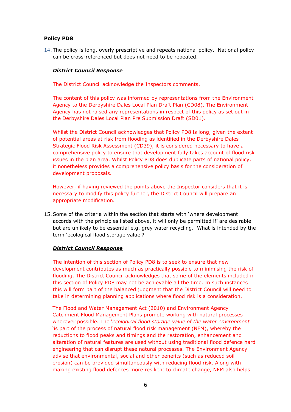## Policy PD8

14. The policy is long, overly prescriptive and repeats national policy. National policy can be cross-referenced but does not need to be repeated.

## District Council Response

The District Council acknowledge the Inspectors comments.

The content of this policy was informed by representations from the Environment Agency to the Derbyshire Dales Local Plan Draft Plan (CD08). The Environment Agency has not raised any representations in respect of this policy as set out in the Derbyshire Dales Local Plan Pre Submission Draft (SD01).

Whilst the District Council acknowledges that Policy PD8 is long, given the extent of potential areas at risk from flooding as identified in the Derbyshire Dales Strategic Flood Risk Assessment (CD39), it is considered necessary to have a comprehensive policy to ensure that development fully takes account of flood risk issues in the plan area. Whilst Policy PD8 does duplicate parts of national policy, it nonetheless provides a comprehensive policy basis for the consideration of development proposals.

However, if having reviewed the points above the Inspector considers that it is necessary to modify this policy further, the District Council will prepare an appropriate modification.

15.Some of the criteria within the section that starts with 'where development accords with the principles listed above, it will only be permitted if' are desirable but are unlikely to be essential e.g. grey water recycling. What is intended by the term 'ecological flood storage value'?

## District Council Response

The intention of this section of Policy PD8 is to seek to ensure that new development contributes as much as practically possible to minimising the risk of flooding. The District Council acknowledges that some of the elements included in this section of Policy PD8 may not be achievable all the time. In such instances this will form part of the balanced judgment that the District Council will need to take in determining planning applications where flood risk is a consideration.

The Flood and Water Management Act (2010) and Environment Agency Catchment Flood Management Plans promote working with natural processes wherever possible. The 'ecological flood storage value of the water environment 'is part of the process of natural flood risk management (NFM), whereby the reductions to flood peaks and timings and the restoration, enhancement and alteration of natural features are used without using traditional flood defence hard engineering that can disrupt these natural processes. The Environment Agency advise that environmental, social and other benefits (such as reduced soil erosion) can be provided simultaneously with reducing flood risk. Along with making existing flood defences more resilient to climate change, NFM also helps